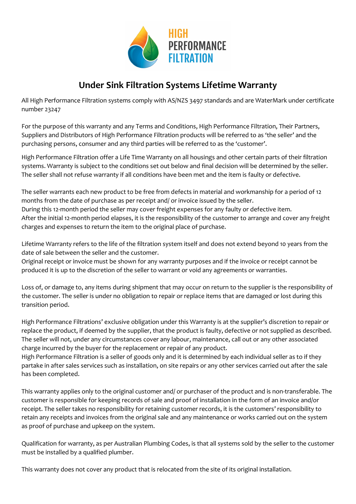

## **Under Sink Filtration Systems Lifetime Warranty**

All High Performance Filtration systems comply with AS/NZS 3497 standards and are WaterMark under certificate number 23247

For the purpose of this warranty and any Terms and Conditions, High Performance Filtration, Their Partners, Suppliers and Distributors of High Performance Filtration products will be referred to as 'the seller' and the purchasing persons, consumer and any third parties will be referred to as the 'customer'.

High Performance Filtration offer a Life Time Warranty on all housings and other certain parts of their filtration systems. Warranty is subject to the conditions set out below and final decision will be determined by the seller. The seller shall not refuse warranty if all conditions have been met and the item is faulty or defective.

The seller warrants each new product to be free from defects in material and workmanship for a period of 12 months from the date of purchase as per receipt and/ or invoice issued by the seller. During this 12-month period the seller may cover freight expenses for any faulty or defective item. After the initial 12-month period elapses, it is the responsibility of the customer to arrange and cover any freight charges and expenses to return the item to the original place of purchase.

Lifetime Warranty refers to the life of the filtration system itself and does not extend beyond 10 years from the date of sale between the seller and the customer.

Original receipt or invoice must be shown for any warranty purposes and if the invoice or receipt cannot be produced it is up to the discretion of the seller to warrant or void any agreements or warranties.

Loss of, or damage to, any items during shipment that may occur on return to the supplier is the responsibility of the customer. The seller is under no obligation to repair or replace items that are damaged or lost during this transition period.

High Performance Filtrations' exclusive obligation under this Warranty is at the supplier's discretion to repair or replace the product, if deemed by the supplier, that the product is faulty, defective or not supplied as described. The seller will not, under any circumstances cover any labour, maintenance, call out or any other associated charge incurred by the buyer for the replacement or repair of any product.

High Performance Filtration is a seller of goods only and it is determined by each individual seller as to if they partake in after sales services such as installation, on site repairs or any other services carried out after the sale has been completed.

This warranty applies only to the original customer and/ or purchaser of the product and is non-transferable. The customer is responsible for keeping records of sale and proof of installation in the form of an invoice and/or receipt. The seller takes no responsibility for retaining customer records, it is the customers' responsibility to retain any receipts and invoices from the original sale and any maintenance or works carried out on the system as proof of purchase and upkeep on the system.

Qualification for warranty, as per Australian Plumbing Codes, is that all systems sold by the seller to the customer must be installed by a qualified plumber.

This warranty does not cover any product that is relocated from the site of its original installation.